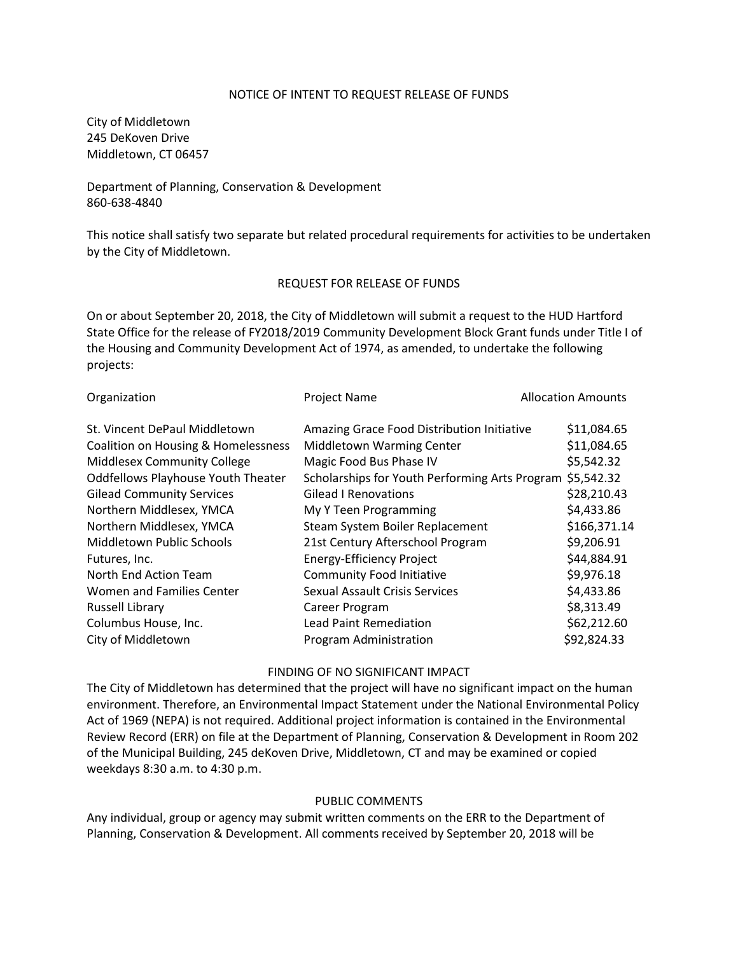#### NOTICE OF INTENT TO REQUEST RELEASE OF FUNDS

City of Middletown 245 DeKoven Drive Middletown, CT 06457

Department of Planning, Conservation & Development 860-638-4840

This notice shall satisfy two separate but related procedural requirements for activities to be undertaken by the City of Middletown.

#### REQUEST FOR RELEASE OF FUNDS

On or about September 20, 2018, the City of Middletown will submit a request to the HUD Hartford State Office for the release of FY2018/2019 Community Development Block Grant funds under Title I of the Housing and Community Development Act of 1974, as amended, to undertake the following projects:

| Organization                              | <b>Project Name</b>                                       | <b>Allocation Amounts</b> |
|-------------------------------------------|-----------------------------------------------------------|---------------------------|
| St. Vincent DePaul Middletown             | Amazing Grace Food Distribution Initiative                | \$11,084.65               |
| Coalition on Housing & Homelessness       | Middletown Warming Center                                 | \$11,084.65               |
| Middlesex Community College               | Magic Food Bus Phase IV                                   | \$5,542.32                |
| <b>Oddfellows Playhouse Youth Theater</b> | Scholarships for Youth Performing Arts Program \$5,542.32 |                           |
| <b>Gilead Community Services</b>          | <b>Gilead I Renovations</b>                               | \$28,210.43               |
| Northern Middlesex, YMCA                  | My Y Teen Programming                                     | \$4,433.86                |
| Northern Middlesex, YMCA                  | Steam System Boiler Replacement                           | \$166,371.14              |
| Middletown Public Schools                 | 21st Century Afterschool Program                          | \$9,206.91                |
| Futures, Inc.                             | <b>Energy-Efficiency Project</b>                          | \$44,884.91               |
| North End Action Team                     | <b>Community Food Initiative</b>                          | \$9,976.18                |
| Women and Families Center                 | <b>Sexual Assault Crisis Services</b>                     | \$4,433.86                |
| Russell Library                           | Career Program                                            | \$8,313.49                |
| Columbus House, Inc.                      | <b>Lead Paint Remediation</b>                             | \$62,212.60               |
| City of Middletown                        | Program Administration                                    | \$92,824.33               |
|                                           |                                                           |                           |

### FINDING OF NO SIGNIFICANT IMPACT

The City of Middletown has determined that the project will have no significant impact on the human environment. Therefore, an Environmental Impact Statement under the National Environmental Policy Act of 1969 (NEPA) is not required. Additional project information is contained in the Environmental Review Record (ERR) on file at the Department of Planning, Conservation & Development in Room 202 of the Municipal Building, 245 deKoven Drive, Middletown, CT and may be examined or copied weekdays 8:30 a.m. to 4:30 p.m.

## PUBLIC COMMENTS

Any individual, group or agency may submit written comments on the ERR to the Department of Planning, Conservation & Development. All comments received by September 20, 2018 will be